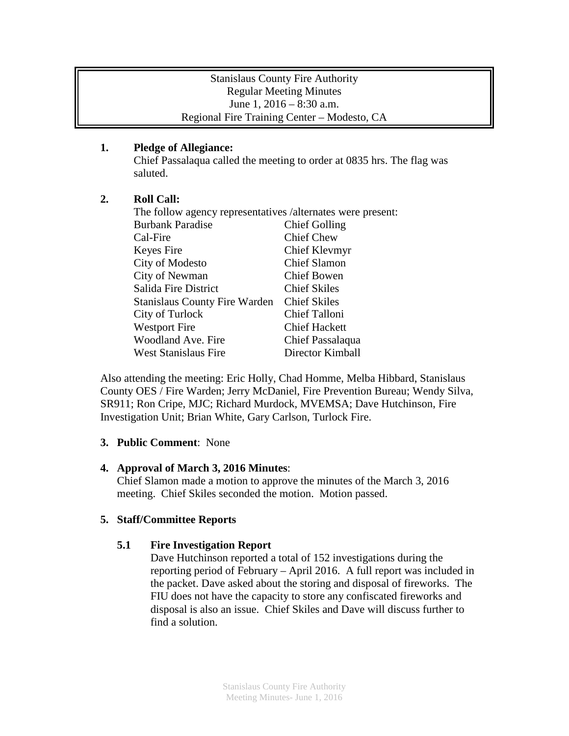### Stanislaus County Fire Authority Regular Meeting Minutes June 1, 2016 – 8:30 a.m. Regional Fire Training Center – Modesto, CA

### **1. Pledge of Allegiance:**

Chief Passalaqua called the meeting to order at 0835 hrs. The flag was saluted.

## **2. Roll Call:**

| The follow agency representatives /alternates were present: |                      |
|-------------------------------------------------------------|----------------------|
| <b>Burbank Paradise</b>                                     | <b>Chief Golling</b> |
| Cal-Fire                                                    | <b>Chief Chew</b>    |
| Keyes Fire                                                  | Chief Klevmyr        |
| City of Modesto                                             | <b>Chief Slamon</b>  |
| City of Newman                                              | <b>Chief Bowen</b>   |
| Salida Fire District                                        | <b>Chief Skiles</b>  |
| <b>Stanislaus County Fire Warden</b>                        | <b>Chief Skiles</b>  |
| City of Turlock                                             | Chief Talloni        |
| <b>Westport Fire</b>                                        | <b>Chief Hackett</b> |
| Woodland Ave. Fire                                          | Chief Passalaqua     |
| <b>West Stanislaus Fire</b>                                 | Director Kimball     |

Also attending the meeting: Eric Holly, Chad Homme, Melba Hibbard, Stanislaus County OES / Fire Warden; Jerry McDaniel, Fire Prevention Bureau; Wendy Silva, SR911; Ron Cripe, MJC; Richard Murdock, MVEMSA; Dave Hutchinson, Fire Investigation Unit; Brian White, Gary Carlson, Turlock Fire.

### **3. Public Comment**: None

### **4. Approval of March 3, 2016 Minutes**:

Chief Slamon made a motion to approve the minutes of the March 3, 2016 meeting. Chief Skiles seconded the motion. Motion passed.

# **5. Staff/Committee Reports**

# **5.1 Fire Investigation Report**

Dave Hutchinson reported a total of 152 investigations during the reporting period of February – April 2016. A full report was included in the packet. Dave asked about the storing and disposal of fireworks. The FIU does not have the capacity to store any confiscated fireworks and disposal is also an issue. Chief Skiles and Dave will discuss further to find a solution.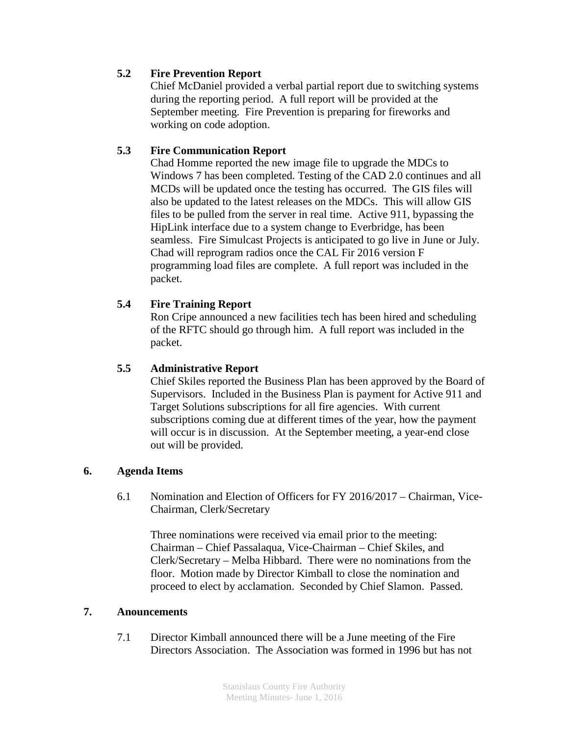### **5.2 Fire Prevention Report**

Chief McDaniel provided a verbal partial report due to switching systems during the reporting period. A full report will be provided at the September meeting. Fire Prevention is preparing for fireworks and working on code adoption.

## **5.3 Fire Communication Report**

Chad Homme reported the new image file to upgrade the MDCs to Windows 7 has been completed. Testing of the CAD 2.0 continues and all MCDs will be updated once the testing has occurred. The GIS files will also be updated to the latest releases on the MDCs. This will allow GIS files to be pulled from the server in real time. Active 911, bypassing the HipLink interface due to a system change to Everbridge, has been seamless. Fire Simulcast Projects is anticipated to go live in June or July. Chad will reprogram radios once the CAL Fir 2016 version F programming load files are complete. A full report was included in the packet.

### **5.4 Fire Training Report**

Ron Cripe announced a new facilities tech has been hired and scheduling of the RFTC should go through him. A full report was included in the packet.

### **5.5 Administrative Report**

Chief Skiles reported the Business Plan has been approved by the Board of Supervisors. Included in the Business Plan is payment for Active 911 and Target Solutions subscriptions for all fire agencies. With current subscriptions coming due at different times of the year, how the payment will occur is in discussion. At the September meeting, a year-end close out will be provided.

#### **6. Agenda Items**

6.1 Nomination and Election of Officers for FY 2016/2017 – Chairman, Vice-Chairman, Clerk/Secretary

Three nominations were received via email prior to the meeting: Chairman – Chief Passalaqua, Vice-Chairman – Chief Skiles, and Clerk/Secretary – Melba Hibbard. There were no nominations from the floor. Motion made by Director Kimball to close the nomination and proceed to elect by acclamation. Seconded by Chief Slamon. Passed.

#### **7. Anouncements**

7.1 Director Kimball announced there will be a June meeting of the Fire Directors Association. The Association was formed in 1996 but has not